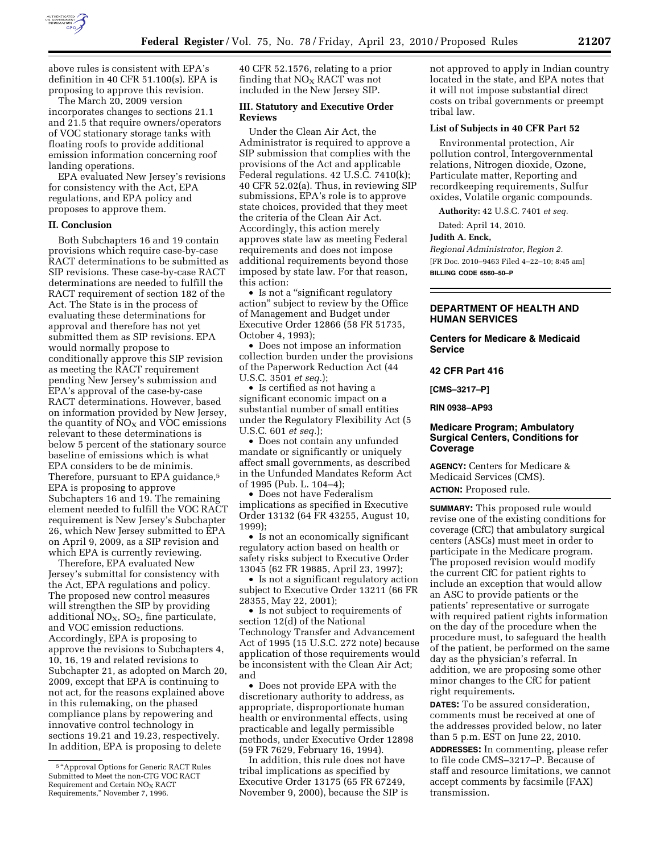

above rules is consistent with EPA's definition in 40 CFR 51.100(s). EPA is proposing to approve this revision.

The March 20, 2009 version incorporates changes to sections 21.1 and 21.5 that require owners/operators of VOC stationary storage tanks with floating roofs to provide additional emission information concerning roof landing operations.

EPA evaluated New Jersey's revisions for consistency with the Act, EPA regulations, and EPA policy and proposes to approve them.

## **II. Conclusion**

Both Subchapters 16 and 19 contain provisions which require case-by-case RACT determinations to be submitted as SIP revisions. These case-by-case RACT determinations are needed to fulfill the RACT requirement of section 182 of the Act. The State is in the process of evaluating these determinations for approval and therefore has not yet submitted them as SIP revisions. EPA would normally propose to conditionally approve this SIP revision as meeting the RACT requirement pending New Jersey's submission and EPA's approval of the case-by-case RACT determinations. However, based on information provided by New Jersey, the quantity of  $NO<sub>x</sub>$  and VOC emissions relevant to these determinations is below 5 percent of the stationary source baseline of emissions which is what EPA considers to be de minimis. Therefore, pursuant to EPA guidance,5 EPA is proposing to approve Subchapters 16 and 19. The remaining element needed to fulfill the VOC RACT requirement is New Jersey's Subchapter 26, which New Jersey submitted to EPA on April 9, 2009, as a SIP revision and which EPA is currently reviewing.

Therefore, EPA evaluated New Jersey's submittal for consistency with the Act, EPA regulations and policy. The proposed new control measures will strengthen the SIP by providing additional  $NO<sub>X</sub>$ ,  $SO<sub>2</sub>$ , fine particulate, and VOC emission reductions. Accordingly, EPA is proposing to approve the revisions to Subchapters 4, 10, 16, 19 and related revisions to Subchapter 21, as adopted on March 20, 2009, except that EPA is continuing to not act, for the reasons explained above in this rulemaking, on the phased compliance plans by repowering and innovative control technology in sections 19.21 and 19.23, respectively. In addition, EPA is proposing to delete

40 CFR 52.1576, relating to a prior finding that  $NO<sub>X</sub>$  RACT was not included in the New Jersey SIP.

## **III. Statutory and Executive Order Reviews**

Under the Clean Air Act, the Administrator is required to approve a SIP submission that complies with the provisions of the Act and applicable Federal regulations. 42 U.S.C. 7410(k); 40 CFR 52.02(a). Thus, in reviewing SIP submissions, EPA's role is to approve state choices, provided that they meet the criteria of the Clean Air Act. Accordingly, this action merely approves state law as meeting Federal requirements and does not impose additional requirements beyond those imposed by state law. For that reason, this action:

• Is not a "significant regulatory action'' subject to review by the Office of Management and Budget under Executive Order 12866 (58 FR 51735, October 4, 1993);

• Does not impose an information collection burden under the provisions of the Paperwork Reduction Act (44 U.S.C. 3501 *et seq.*);

• Is certified as not having a significant economic impact on a substantial number of small entities under the Regulatory Flexibility Act (5 U.S.C. 601 *et seq.*);

• Does not contain any unfunded mandate or significantly or uniquely affect small governments, as described in the Unfunded Mandates Reform Act of 1995 (Pub. L. 104–4);

• Does not have Federalism implications as specified in Executive Order 13132 (64 FR 43255, August 10, 1999);

• Is not an economically significant regulatory action based on health or safety risks subject to Executive Order 13045 (62 FR 19885, April 23, 1997);

• Is not a significant regulatory action subject to Executive Order 13211 (66 FR 28355, May 22, 2001);

• Is not subject to requirements of section 12(d) of the National Technology Transfer and Advancement Act of 1995 (15 U.S.C. 272 note) because application of those requirements would be inconsistent with the Clean Air Act; and

• Does not provide EPA with the discretionary authority to address, as appropriate, disproportionate human health or environmental effects, using practicable and legally permissible methods, under Executive Order 12898 (59 FR 7629, February 16, 1994).

In addition, this rule does not have tribal implications as specified by Executive Order 13175 (65 FR 67249, November 9, 2000), because the SIP is not approved to apply in Indian country located in the state, and EPA notes that it will not impose substantial direct costs on tribal governments or preempt tribal law.

# **List of Subjects in 40 CFR Part 52**

Environmental protection, Air pollution control, Intergovernmental relations, Nitrogen dioxide, Ozone, Particulate matter, Reporting and recordkeeping requirements, Sulfur oxides, Volatile organic compounds.

**Authority:** 42 U.S.C. 7401 *et seq.* 

Dated: April 14, 2010.

## **Judith A. Enck,**

*Regional Administrator, Region 2.*  [FR Doc. 2010–9463 Filed 4–22–10; 8:45 am] **BILLING CODE 6560–50–P** 

# **DEPARTMENT OF HEALTH AND HUMAN SERVICES**

**Centers for Medicare & Medicaid Service** 

**42 CFR Part 416** 

**[CMS–3217–P]** 

**RIN 0938–AP93** 

# **Medicare Program; Ambulatory Surgical Centers, Conditions for Coverage**

**AGENCY:** Centers for Medicare & Medicaid Services (CMS). **ACTION:** Proposed rule.

**SUMMARY:** This proposed rule would revise one of the existing conditions for coverage (CfC) that ambulatory surgical centers (ASCs) must meet in order to participate in the Medicare program. The proposed revision would modify the current CfC for patient rights to include an exception that would allow an ASC to provide patients or the patients' representative or surrogate with required patient rights information on the day of the procedure when the procedure must, to safeguard the health of the patient, be performed on the same day as the physician's referral. In addition, we are proposing some other minor changes to the CfC for patient right requirements.

**DATES:** To be assured consideration, comments must be received at one of the addresses provided below, no later than 5 p.m. EST on June 22, 2010.

**ADDRESSES:** In commenting, please refer to file code CMS–3217–P. Because of staff and resource limitations, we cannot accept comments by facsimile (FAX) transmission.

<sup>&</sup>lt;sup>5</sup> "Approval Options for Generic RACT Rules Submitted to Meet the non-CTG VOC RACT Requirement and Certain NO<sub>X</sub> RACT Requirements,'' November 7, 1996.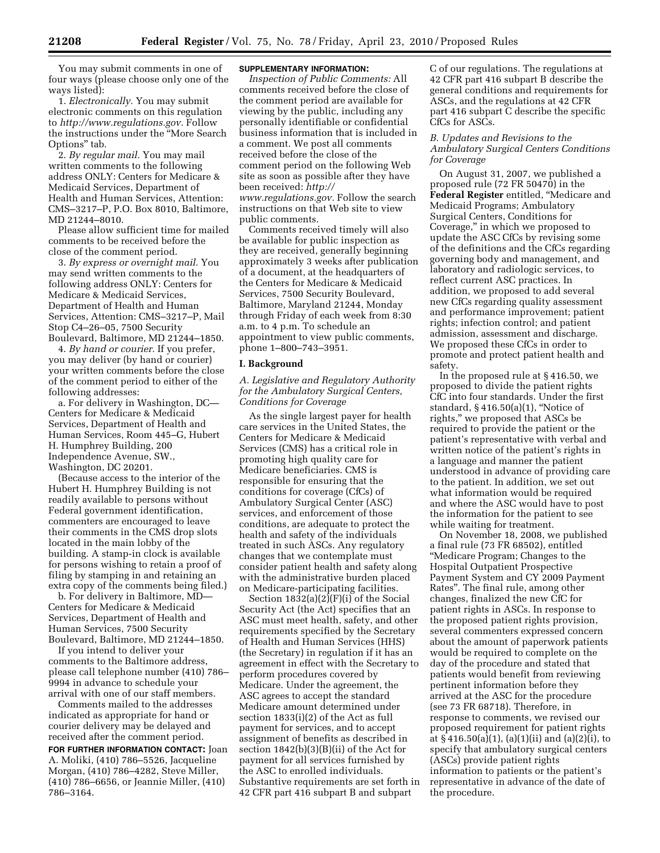You may submit comments in one of four ways (please choose only one of the ways listed):

1. *Electronically.* You may submit electronic comments on this regulation to *http://www.regulations.gov.* Follow the instructions under the ''More Search Options'' tab.

2. *By regular mail.* You may mail written comments to the following address ONLY: Centers for Medicare & Medicaid Services, Department of Health and Human Services, Attention: CMS–3217–P, P.O. Box 8010, Baltimore, MD 21244–8010.

Please allow sufficient time for mailed comments to be received before the close of the comment period.

3. *By express or overnight mail.* You may send written comments to the following address ONLY: Centers for Medicare & Medicaid Services, Department of Health and Human Services, Attention: CMS–3217–P, Mail Stop C4–26–05, 7500 Security Boulevard, Baltimore, MD 21244–1850.

4. *By hand or courier.* If you prefer, you may deliver (by hand or courier) your written comments before the close of the comment period to either of the following addresses:

a. For delivery in Washington, DC— Centers for Medicare & Medicaid Services, Department of Health and Human Services, Room 445–G, Hubert H. Humphrey Building, 200 Independence Avenue, SW., Washington, DC 20201.

(Because access to the interior of the Hubert H. Humphrey Building is not readily available to persons without Federal government identification, commenters are encouraged to leave their comments in the CMS drop slots located in the main lobby of the building. A stamp-in clock is available for persons wishing to retain a proof of filing by stamping in and retaining an extra copy of the comments being filed.)

b. For delivery in Baltimore, MD— Centers for Medicare & Medicaid Services, Department of Health and Human Services, 7500 Security Boulevard, Baltimore, MD 21244–1850.

If you intend to deliver your comments to the Baltimore address, please call telephone number (410) 786– 9994 in advance to schedule your arrival with one of our staff members.

Comments mailed to the addresses indicated as appropriate for hand or courier delivery may be delayed and received after the comment period.

**FOR FURTHER INFORMATION CONTACT:** Joan A. Moliki, (410) 786–5526, Jacqueline Morgan, (410) 786–4282, Steve Miller, (410) 786–6656, or Jeannie Miller, (410) 786–3164.

# **SUPPLEMENTARY INFORMATION:**

*Inspection of Public Comments:* All comments received before the close of the comment period are available for viewing by the public, including any personally identifiable or confidential business information that is included in a comment. We post all comments received before the close of the comment period on the following Web site as soon as possible after they have been received: *http:// www.regulations.gov.* Follow the search instructions on that Web site to view public comments.

Comments received timely will also be available for public inspection as they are received, generally beginning approximately 3 weeks after publication of a document, at the headquarters of the Centers for Medicare & Medicaid Services, 7500 Security Boulevard, Baltimore, Maryland 21244, Monday through Friday of each week from 8:30 a.m. to 4 p.m. To schedule an appointment to view public comments, phone 1–800–743–3951.

#### **I. Background**

*A. Legislative and Regulatory Authority for the Ambulatory Surgical Centers, Conditions for Coverage* 

As the single largest payer for health care services in the United States, the Centers for Medicare & Medicaid Services (CMS) has a critical role in promoting high quality care for Medicare beneficiaries. CMS is responsible for ensuring that the conditions for coverage (CfCs) of Ambulatory Surgical Center (ASC) services, and enforcement of those conditions, are adequate to protect the health and safety of the individuals treated in such ASCs. Any regulatory changes that we contemplate must consider patient health and safety along with the administrative burden placed on Medicare-participating facilities.

Section 1832(a)(2)(F)(i) of the Social Security Act (the Act) specifies that an ASC must meet health, safety, and other requirements specified by the Secretary of Health and Human Services (HHS) (the Secretary) in regulation if it has an agreement in effect with the Secretary to perform procedures covered by Medicare. Under the agreement, the ASC agrees to accept the standard Medicare amount determined under section 1833(i)(2) of the Act as full payment for services, and to accept assignment of benefits as described in section 1842(b)(3)(B)(ii) of the Act for payment for all services furnished by the ASC to enrolled individuals. Substantive requirements are set forth in 42 CFR part 416 subpart B and subpart

C of our regulations. The regulations at 42 CFR part 416 subpart B describe the general conditions and requirements for ASCs, and the regulations at 42 CFR part 416 subpart C describe the specific CfCs for ASCs.

# *B. Updates and Revisions to the Ambulatory Surgical Centers Conditions for Coverage*

On August 31, 2007, we published a proposed rule (72 FR 50470) in the **Federal Register** entitled, ''Medicare and Medicaid Programs; Ambulatory Surgical Centers, Conditions for Coverage,'' in which we proposed to update the ASC CfCs by revising some of the definitions and the CfCs regarding governing body and management, and laboratory and radiologic services, to reflect current ASC practices. In addition, we proposed to add several new CfCs regarding quality assessment and performance improvement; patient rights; infection control; and patient admission, assessment and discharge. We proposed these CfCs in order to promote and protect patient health and safety.

In the proposed rule at § 416.50, we proposed to divide the patient rights CfC into four standards. Under the first standard, § 416.50(a)(1), ''Notice of rights,'' we proposed that ASCs be required to provide the patient or the patient's representative with verbal and written notice of the patient's rights in a language and manner the patient understood in advance of providing care to the patient. In addition, we set out what information would be required and where the ASC would have to post the information for the patient to see while waiting for treatment.

On November 18, 2008, we published a final rule (73 FR 68502), entitled ''Medicare Program; Changes to the Hospital Outpatient Prospective Payment System and CY 2009 Payment Rates''. The final rule, among other changes, finalized the new CfC for patient rights in ASCs. In response to the proposed patient rights provision, several commenters expressed concern about the amount of paperwork patients would be required to complete on the day of the procedure and stated that patients would benefit from reviewing pertinent information before they arrived at the ASC for the procedure (see 73 FR 68718). Therefore, in response to comments, we revised our proposed requirement for patient rights at  $\S 416.50(a)(1)$ ,  $(a)(1)(ii)$  and  $(a)(2)(i)$ , to specify that ambulatory surgical centers (ASCs) provide patient rights information to patients or the patient's representative in advance of the date of the procedure.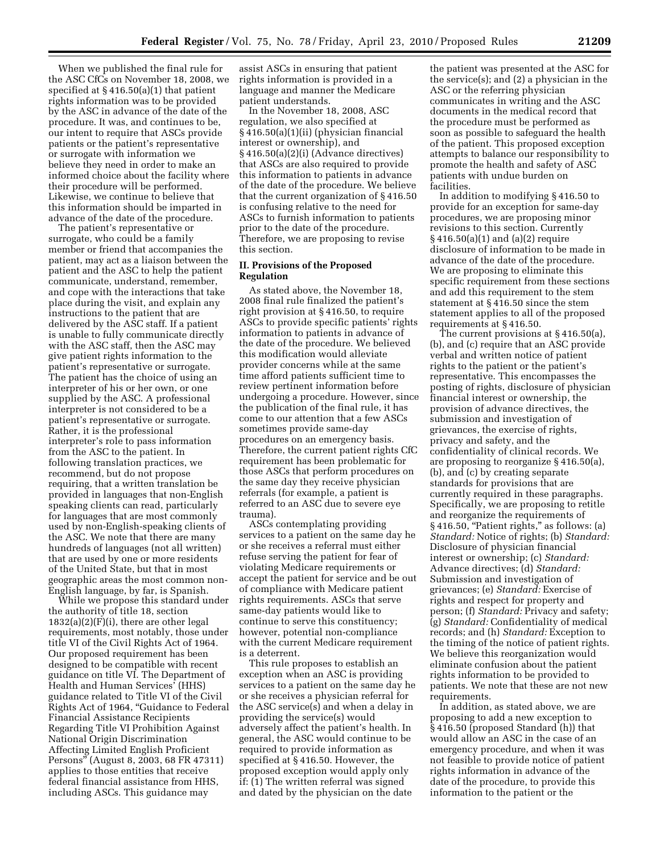When we published the final rule for the ASC CfCs on November 18, 2008, we specified at § 416.50(a)(1) that patient rights information was to be provided by the ASC in advance of the date of the procedure. It was, and continues to be, our intent to require that ASCs provide patients or the patient's representative or surrogate with information we believe they need in order to make an informed choice about the facility where their procedure will be performed. Likewise, we continue to believe that this information should be imparted in advance of the date of the procedure.

The patient's representative or surrogate, who could be a family member or friend that accompanies the patient, may act as a liaison between the patient and the ASC to help the patient communicate, understand, remember, and cope with the interactions that take place during the visit, and explain any instructions to the patient that are delivered by the ASC staff. If a patient is unable to fully communicate directly with the ASC staff, then the ASC may give patient rights information to the patient's representative or surrogate. The patient has the choice of using an interpreter of his or her own, or one supplied by the ASC. A professional interpreter is not considered to be a patient's representative or surrogate. Rather, it is the professional interpreter's role to pass information from the ASC to the patient. In following translation practices, we recommend, but do not propose requiring, that a written translation be provided in languages that non-English speaking clients can read, particularly for languages that are most commonly used by non-English-speaking clients of the ASC. We note that there are many hundreds of languages (not all written) that are used by one or more residents of the United State, but that in most geographic areas the most common non-English language, by far, is Spanish.

While we propose this standard under the authority of title 18, section  $1832(a)(2)(F)(i)$ , there are other legal requirements, most notably, those under title VI of the Civil Rights Act of 1964. Our proposed requirement has been designed to be compatible with recent guidance on title VI. The Department of Health and Human Services<sup>5</sup> (HHS) guidance related to Title VI of the Civil Rights Act of 1964, ''Guidance to Federal Financial Assistance Recipients Regarding Title VI Prohibition Against National Origin Discrimination Affecting Limited English Proficient Persons'' (August 8, 2003, 68 FR 47311) applies to those entities that receive federal financial assistance from HHS, including ASCs. This guidance may

assist ASCs in ensuring that patient rights information is provided in a language and manner the Medicare patient understands.

In the November 18, 2008, ASC regulation, we also specified at § 416.50(a)(1)(ii) (physician financial interest or ownership), and § 416.50(a)(2)(i) (Advance directives) that ASCs are also required to provide this information to patients in advance of the date of the procedure. We believe that the current organization of § 416.50 is confusing relative to the need for ASCs to furnish information to patients prior to the date of the procedure. Therefore, we are proposing to revise this section.

### **II. Provisions of the Proposed Regulation**

As stated above, the November 18, 2008 final rule finalized the patient's right provision at § 416.50, to require ASCs to provide specific patients' rights information to patients in advance of the date of the procedure. We believed this modification would alleviate provider concerns while at the same time afford patients sufficient time to review pertinent information before undergoing a procedure. However, since the publication of the final rule, it has come to our attention that a few ASCs sometimes provide same-day procedures on an emergency basis. Therefore, the current patient rights CfC requirement has been problematic for those ASCs that perform procedures on the same day they receive physician referrals (for example, a patient is referred to an ASC due to severe eye trauma).

ASCs contemplating providing services to a patient on the same day he or she receives a referral must either refuse serving the patient for fear of violating Medicare requirements or accept the patient for service and be out of compliance with Medicare patient rights requirements. ASCs that serve same-day patients would like to continue to serve this constituency; however, potential non-compliance with the current Medicare requirement is a deterrent.

This rule proposes to establish an exception when an ASC is providing services to a patient on the same day he or she receives a physician referral for the ASC service(s) and when a delay in providing the service(s) would adversely affect the patient's health. In general, the ASC would continue to be required to provide information as specified at § 416.50. However, the proposed exception would apply only if: (1) The written referral was signed and dated by the physician on the date

the patient was presented at the ASC for the service(s); and (2) a physician in the ASC or the referring physician communicates in writing and the ASC documents in the medical record that the procedure must be performed as soon as possible to safeguard the health of the patient. This proposed exception attempts to balance our responsibility to promote the health and safety of ASC patients with undue burden on facilities.

In addition to modifying § 416.50 to provide for an exception for same-day procedures, we are proposing minor revisions to this section. Currently § 416.50(a)(1) and (a)(2) require disclosure of information to be made in advance of the date of the procedure. We are proposing to eliminate this specific requirement from these sections and add this requirement to the stem statement at § 416.50 since the stem statement applies to all of the proposed requirements at § 416.50.

The current provisions at § 416.50(a), (b), and (c) require that an ASC provide verbal and written notice of patient rights to the patient or the patient's representative. This encompasses the posting of rights, disclosure of physician financial interest or ownership, the provision of advance directives, the submission and investigation of grievances, the exercise of rights, privacy and safety, and the confidentiality of clinical records. We are proposing to reorganize § 416.50(a), (b), and (c) by creating separate standards for provisions that are currently required in these paragraphs. Specifically, we are proposing to retitle and reorganize the requirements of § 416.50, ''Patient rights,'' as follows: (a) *Standard:* Notice of rights; (b) *Standard:*  Disclosure of physician financial interest or ownership; (c) *Standard:*  Advance directives; (d) *Standard:*  Submission and investigation of grievances; (e) *Standard:* Exercise of rights and respect for property and person; (f) *Standard:* Privacy and safety; (g) *Standard:* Confidentiality of medical records; and (h) *Standard:* Exception to the timing of the notice of patient rights. We believe this reorganization would eliminate confusion about the patient rights information to be provided to patients. We note that these are not new requirements.

In addition, as stated above, we are proposing to add a new exception to § 416.50 (proposed Standard (h)) that would allow an ASC in the case of an emergency procedure, and when it was not feasible to provide notice of patient rights information in advance of the date of the procedure, to provide this information to the patient or the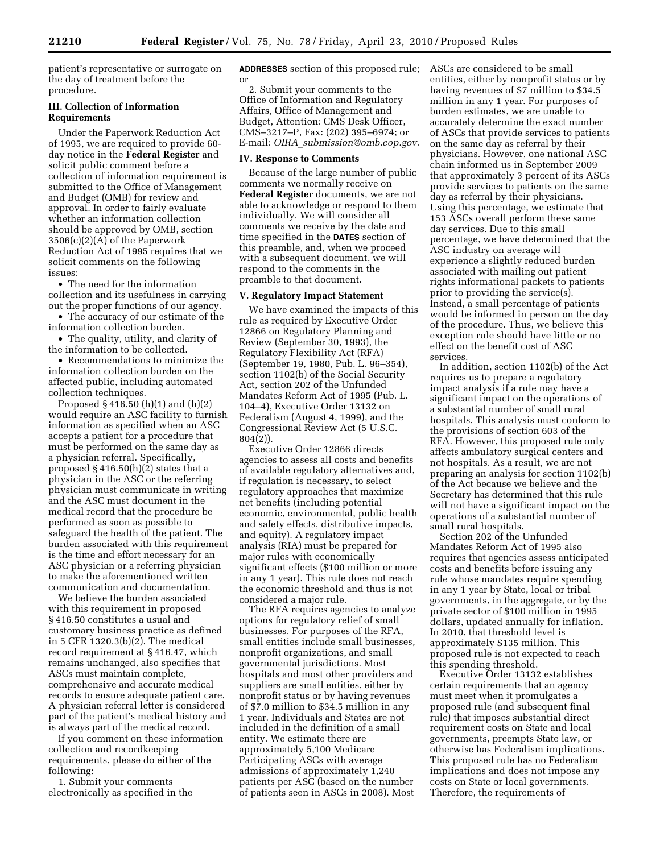patient's representative or surrogate on the day of treatment before the procedure.

## **III. Collection of Information Requirements**

Under the Paperwork Reduction Act of 1995, we are required to provide 60 day notice in the **Federal Register** and solicit public comment before a collection of information requirement is submitted to the Office of Management and Budget (OMB) for review and approval. In order to fairly evaluate whether an information collection should be approved by OMB, section 3506(c)(2)(A) of the Paperwork Reduction Act of 1995 requires that we solicit comments on the following issues:

• The need for the information collection and its usefulness in carrying out the proper functions of our agency.

- The accuracy of our estimate of the information collection burden.
- The quality, utility, and clarity of the information to be collected.

• Recommendations to minimize the information collection burden on the affected public, including automated collection techniques.

Proposed § 416.50 (h)(1) and (h)(2) would require an ASC facility to furnish information as specified when an ASC accepts a patient for a procedure that must be performed on the same day as a physician referral. Specifically, proposed  $\S 416.50(h)(2)$  states that a physician in the ASC or the referring physician must communicate in writing and the ASC must document in the medical record that the procedure be performed as soon as possible to safeguard the health of the patient. The burden associated with this requirement is the time and effort necessary for an ASC physician or a referring physician to make the aforementioned written communication and documentation.

We believe the burden associated with this requirement in proposed § 416.50 constitutes a usual and customary business practice as defined in 5 CFR 1320.3(b)(2). The medical record requirement at § 416.47, which remains unchanged, also specifies that ASCs must maintain complete, comprehensive and accurate medical records to ensure adequate patient care. A physician referral letter is considered part of the patient's medical history and is always part of the medical record.

If you comment on these information collection and recordkeeping requirements, please do either of the following:

1. Submit your comments electronically as specified in the **ADDRESSES** section of this proposed rule; or

2. Submit your comments to the Office of Information and Regulatory Affairs, Office of Management and Budget, Attention: CMS Desk Officer, CMS–3217–P, Fax: (202) 395–6974; or E-mail: *OIRA*\_*submission@omb.eop.gov.* 

#### **IV. Response to Comments**

Because of the large number of public comments we normally receive on **Federal Register** documents, we are not able to acknowledge or respond to them individually. We will consider all comments we receive by the date and time specified in the **DATES** section of this preamble, and, when we proceed with a subsequent document, we will respond to the comments in the preamble to that document.

### **V. Regulatory Impact Statement**

We have examined the impacts of this rule as required by Executive Order 12866 on Regulatory Planning and Review (September 30, 1993), the Regulatory Flexibility Act (RFA) (September 19, 1980, Pub. L. 96–354), section 1102(b) of the Social Security Act, section 202 of the Unfunded Mandates Reform Act of 1995 (Pub. L. 104–4), Executive Order 13132 on Federalism (August 4, 1999), and the Congressional Review Act (5 U.S.C. 804(2)).

Executive Order 12866 directs agencies to assess all costs and benefits of available regulatory alternatives and, if regulation is necessary, to select regulatory approaches that maximize net benefits (including potential economic, environmental, public health and safety effects, distributive impacts, and equity). A regulatory impact analysis (RIA) must be prepared for major rules with economically significant effects (\$100 million or more in any 1 year). This rule does not reach the economic threshold and thus is not considered a major rule.

The RFA requires agencies to analyze options for regulatory relief of small businesses. For purposes of the RFA, small entities include small businesses, nonprofit organizations, and small governmental jurisdictions. Most hospitals and most other providers and suppliers are small entities, either by nonprofit status or by having revenues of \$7.0 million to \$34.5 million in any 1 year. Individuals and States are not included in the definition of a small entity. We estimate there are approximately 5,100 Medicare Participating ASCs with average admissions of approximately 1,240 patients per ASC (based on the number of patients seen in ASCs in 2008). Most

ASCs are considered to be small entities, either by nonprofit status or by having revenues of \$7 million to \$34.5 million in any 1 year. For purposes of burden estimates, we are unable to accurately determine the exact number of ASCs that provide services to patients on the same day as referral by their physicians. However, one national ASC chain informed us in September 2009 that approximately 3 percent of its ASCs provide services to patients on the same day as referral by their physicians. Using this percentage, we estimate that 153 ASCs overall perform these same day services. Due to this small percentage, we have determined that the ASC industry on average will experience a slightly reduced burden associated with mailing out patient rights informational packets to patients prior to providing the service(s). Instead, a small percentage of patients would be informed in person on the day of the procedure. Thus, we believe this exception rule should have little or no effect on the benefit cost of ASC services.

In addition, section 1102(b) of the Act requires us to prepare a regulatory impact analysis if a rule may have a significant impact on the operations of a substantial number of small rural hospitals. This analysis must conform to the provisions of section 603 of the RFA. However, this proposed rule only affects ambulatory surgical centers and not hospitals. As a result, we are not preparing an analysis for section 1102(b) of the Act because we believe and the Secretary has determined that this rule will not have a significant impact on the operations of a substantial number of small rural hospitals.

Section 202 of the Unfunded Mandates Reform Act of 1995 also requires that agencies assess anticipated costs and benefits before issuing any rule whose mandates require spending in any 1 year by State, local or tribal governments, in the aggregate, or by the private sector of \$100 million in 1995 dollars, updated annually for inflation. In 2010, that threshold level is approximately \$135 million. This proposed rule is not expected to reach this spending threshold.

Executive Order 13132 establishes certain requirements that an agency must meet when it promulgates a proposed rule (and subsequent final rule) that imposes substantial direct requirement costs on State and local governments, preempts State law, or otherwise has Federalism implications. This proposed rule has no Federalism implications and does not impose any costs on State or local governments. Therefore, the requirements of